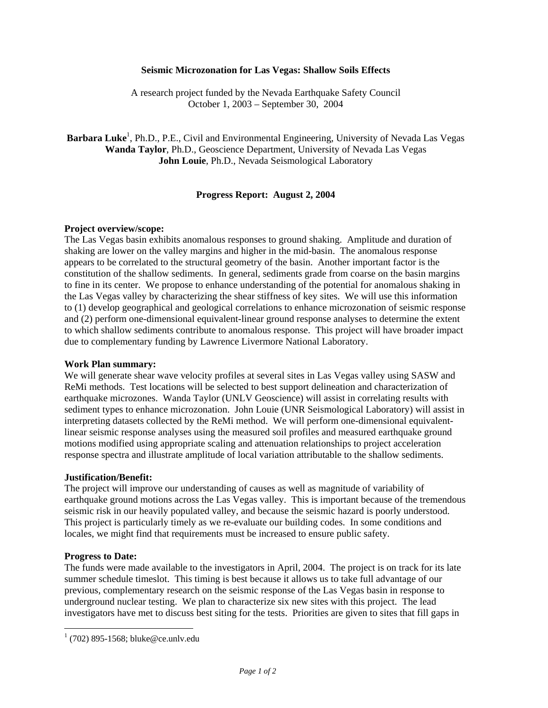### **Seismic Microzonation for Las Vegas: Shallow Soils Effects**

A research project funded by the Nevada Earthquake Safety Council October 1, 2003 – September 30, 2004

Barbara Luke<sup>1</sup>, Ph.D., P.E., Civil and Environmental Engineering, University of Nevada Las Vegas **Wanda Taylor**, Ph.D., Geoscience Department, University of Nevada Las Vegas **John Louie**, Ph.D., Nevada Seismological Laboratory

# **Progress Report: August 2, 2004**

# **Project overview/scope:**

The Las Vegas basin exhibits anomalous responses to ground shaking. Amplitude and duration of shaking are lower on the valley margins and higher in the mid-basin. The anomalous response appears to be correlated to the structural geometry of the basin. Another important factor is the constitution of the shallow sediments. In general, sediments grade from coarse on the basin margins to fine in its center. We propose to enhance understanding of the potential for anomalous shaking in the Las Vegas valley by characterizing the shear stiffness of key sites. We will use this information to (1) develop geographical and geological correlations to enhance microzonation of seismic response and (2) perform one-dimensional equivalent-linear ground response analyses to determine the extent to which shallow sediments contribute to anomalous response. This project will have broader impact due to complementary funding by Lawrence Livermore National Laboratory.

# **Work Plan summary:**

We will generate shear wave velocity profiles at several sites in Las Vegas valley using SASW and ReMi methods. Test locations will be selected to best support delineation and characterization of earthquake microzones. Wanda Taylor (UNLV Geoscience) will assist in correlating results with sediment types to enhance microzonation. John Louie (UNR Seismological Laboratory) will assist in interpreting datasets collected by the ReMi method. We will perform one-dimensional equivalentlinear seismic response analyses using the measured soil profiles and measured earthquake ground motions modified using appropriate scaling and attenuation relationships to project acceleration response spectra and illustrate amplitude of local variation attributable to the shallow sediments.

# **Justification/Benefit:**

The project will improve our understanding of causes as well as magnitude of variability of earthquake ground motions across the Las Vegas valley. This is important because of the tremendous seismic risk in our heavily populated valley, and because the seismic hazard is poorly understood. This project is particularly timely as we re-evaluate our building codes. In some conditions and locales, we might find that requirements must be increased to ensure public safety.

### **Progress to Date:**

The funds were made available to the investigators in April, 2004. The project is on track for its late summer schedule timeslot. This timing is best because it allows us to take full advantage of our previous, complementary research on the seismic response of the Las Vegas basin in response to underground nuclear testing. We plan to characterize six new sites with this project. The lead investigators have met to discuss best siting for the tests. Priorities are given to sites that fill gaps in

 1 (702) 895-1568; bluke@ce.unlv.edu